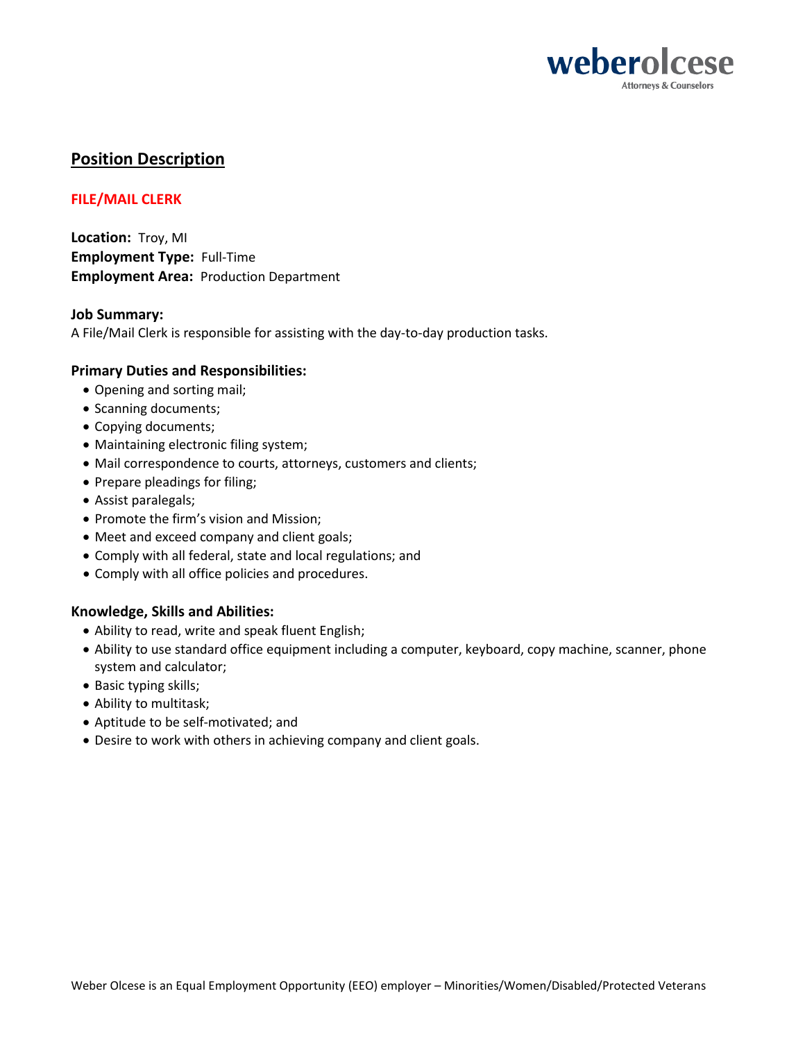

# **Position Description**

## **FILE/MAIL CLERK**

**Location:** Troy, MI **Employment Type:** Full-Time **Employment Area:** Production Department

### **Job Summary:**

A File/Mail Clerk is responsible for assisting with the day-to-day production tasks.

### **Primary Duties and Responsibilities:**

- Opening and sorting mail;
- Scanning documents;
- Copying documents;
- Maintaining electronic filing system;
- Mail correspondence to courts, attorneys, customers and clients;
- Prepare pleadings for filing;
- Assist paralegals;
- Promote the firm's vision and Mission;
- Meet and exceed company and client goals;
- Comply with all federal, state and local regulations; and
- Comply with all office policies and procedures.

## **Knowledge, Skills and Abilities:**

- Ability to read, write and speak fluent English;
- Ability to use standard office equipment including a computer, keyboard, copy machine, scanner, phone system and calculator;
- Basic typing skills;
- Ability to multitask;
- Aptitude to be self-motivated; and
- Desire to work with others in achieving company and client goals.